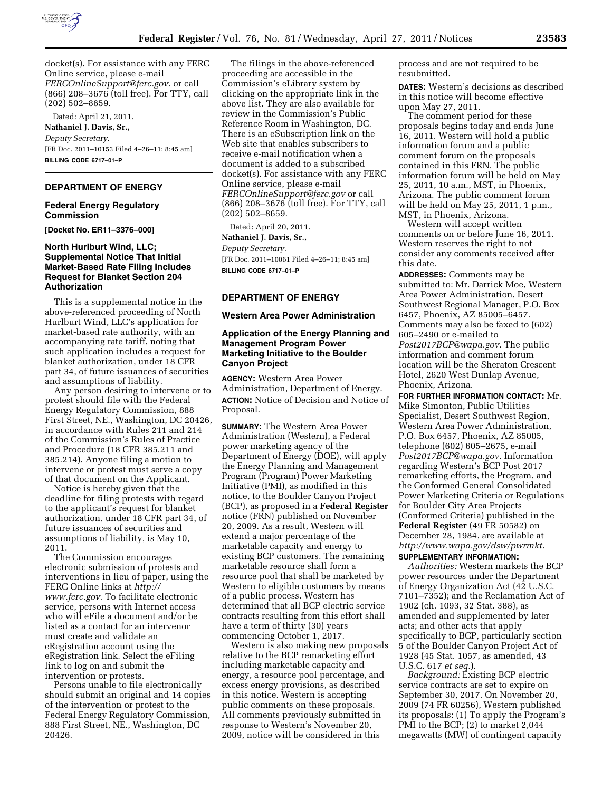

docket(s). For assistance with any FERC Online service, please e-mail *[FERCOnlineSupport@ferc.gov.](mailto:FERCOnlineSupport@ferc.gov)* or call (866) 208–3676 (toll free). For TTY, call (202) 502–8659.

Dated: April 21, 2011. **Nathaniel J. Davis, Sr.,**  *Deputy Secretary.*  [FR Doc. 2011–10153 Filed 4–26–11; 8:45 am] **BILLING CODE 6717–01–P** 

### **DEPARTMENT OF ENERGY**

### **Federal Energy Regulatory Commission**

**[Docket No. ER11–3376–000]** 

## **North Hurlburt Wind, LLC; Supplemental Notice That Initial Market-Based Rate Filing Includes Request for Blanket Section 204 Authorization**

This is a supplemental notice in the above-referenced proceeding of North Hurlburt Wind, LLC's application for market-based rate authority, with an accompanying rate tariff, noting that such application includes a request for blanket authorization, under 18 CFR part 34, of future issuances of securities and assumptions of liability.

Any person desiring to intervene or to protest should file with the Federal Energy Regulatory Commission, 888 First Street, NE., Washington, DC 20426, in accordance with Rules 211 and 214 of the Commission's Rules of Practice and Procedure (18 CFR 385.211 and 385.214). Anyone filing a motion to intervene or protest must serve a copy of that document on the Applicant.

Notice is hereby given that the deadline for filing protests with regard to the applicant's request for blanket authorization, under 18 CFR part 34, of future issuances of securities and assumptions of liability, is May 10, 2011.

The Commission encourages electronic submission of protests and interventions in lieu of paper, using the FERC Online links at *[http://](http://www.ferc.gov)  [www.ferc.gov.](http://www.ferc.gov)* To facilitate electronic service, persons with Internet access who will eFile a document and/or be listed as a contact for an intervenor must create and validate an eRegistration account using the eRegistration link. Select the eFiling link to log on and submit the intervention or protests.

Persons unable to file electronically should submit an original and 14 copies of the intervention or protest to the Federal Energy Regulatory Commission, 888 First Street, NE., Washington, DC 20426.

The filings in the above-referenced proceeding are accessible in the Commission's eLibrary system by clicking on the appropriate link in the above list. They are also available for review in the Commission's Public Reference Room in Washington, DC. There is an eSubscription link on the Web site that enables subscribers to receive e-mail notification when a document is added to a subscribed docket(s). For assistance with any FERC Online service, please e-mail *[FERCOnlineSupport@ferc.gov](mailto:FERCOnlineSupport@ferc.gov)* or call (866) 208–3676 (toll free). For TTY, call (202) 502–8659.

Dated: April 20, 2011.

**Nathaniel J. Davis, Sr.,**  *Deputy Secretary.*  [FR Doc. 2011–10061 Filed 4–26–11; 8:45 am] **BILLING CODE 6717–01–P** 

## **DEPARTMENT OF ENERGY**

#### **Western Area Power Administration**

## **Application of the Energy Planning and Management Program Power Marketing Initiative to the Boulder Canyon Project**

**AGENCY:** Western Area Power Administration, Department of Energy. **ACTION:** Notice of Decision and Notice of Proposal.

**SUMMARY:** The Western Area Power Administration (Western), a Federal power marketing agency of the Department of Energy (DOE), will apply the Energy Planning and Management Program (Program) Power Marketing Initiative (PMI), as modified in this notice, to the Boulder Canyon Project (BCP), as proposed in a **Federal Register**  notice (FRN) published on November 20, 2009. As a result, Western will extend a major percentage of the marketable capacity and energy to existing BCP customers. The remaining marketable resource shall form a resource pool that shall be marketed by Western to eligible customers by means of a public process. Western has determined that all BCP electric service contracts resulting from this effort shall have a term of thirty (30) years commencing October 1, 2017.

Western is also making new proposals relative to the BCP remarketing effort including marketable capacity and energy, a resource pool percentage, and excess energy provisions, as described in this notice. Western is accepting public comments on these proposals. All comments previously submitted in response to Western's November 20, 2009, notice will be considered in this

process and are not required to be resubmitted.

**DATES:** Western's decisions as described in this notice will become effective upon May 27, 2011.

The comment period for these proposals begins today and ends June 16, 2011. Western will hold a public information forum and a public comment forum on the proposals contained in this FRN. The public information forum will be held on May 25, 2011, 10 a.m., MST, in Phoenix, Arizona. The public comment forum will be held on May 25, 2011, 1 p.m., MST, in Phoenix, Arizona.

Western will accept written comments on or before June 16, 2011. Western reserves the right to not consider any comments received after this date.

**ADDRESSES:** Comments may be submitted to: Mr. Darrick Moe, Western Area Power Administration, Desert Southwest Regional Manager, P.O. Box 6457, Phoenix, AZ 85005–6457. Comments may also be faxed to (602) 605–2490 or e-mailed to *[Post2017BCP@wapa.gov.](mailto:Post2017BCP@wapa.gov)* The public information and comment forum location will be the Sheraton Crescent Hotel, 2620 West Dunlap Avenue, Phoenix, Arizona.

**FOR FURTHER INFORMATION CONTACT:** Mr. Mike Simonton, Public Utilities Specialist, Desert Southwest Region, Western Area Power Administration, P.O. Box 6457, Phoenix, AZ 85005, telephone (602) 605–2675, e-mail *[Post2017BCP@wapa.gov.](mailto:Post2017BCP@wapa.gov)* Information regarding Western's BCP Post 2017 remarketing efforts, the Program, and the Conformed General Consolidated Power Marketing Criteria or Regulations for Boulder City Area Projects (Conformed Criteria) published in the **Federal Register** (49 FR 50582) on December 28, 1984, are available at *[http://www.wapa.gov/dsw/pwrmkt.](http://www.wapa.gov/dsw/pwrmkt)* 

#### **SUPPLEMENTARY INFORMATION:**

*Authorities:* Western markets the BCP power resources under the Department of Energy Organization Act (42 U.S.C. 7101–7352); and the Reclamation Act of 1902 (ch. 1093, 32 Stat. 388), as amended and supplemented by later acts; and other acts that apply specifically to BCP, particularly section 5 of the Boulder Canyon Project Act of 1928 (45 Stat. 1057, as amended, 43 U.S.C. 617 *et seq.*).

*Background:* Existing BCP electric service contracts are set to expire on September 30, 2017. On November 20, 2009 (74 FR 60256), Western published its proposals: (1) To apply the Program's PMI to the BCP; (2) to market 2,044 megawatts (MW) of contingent capacity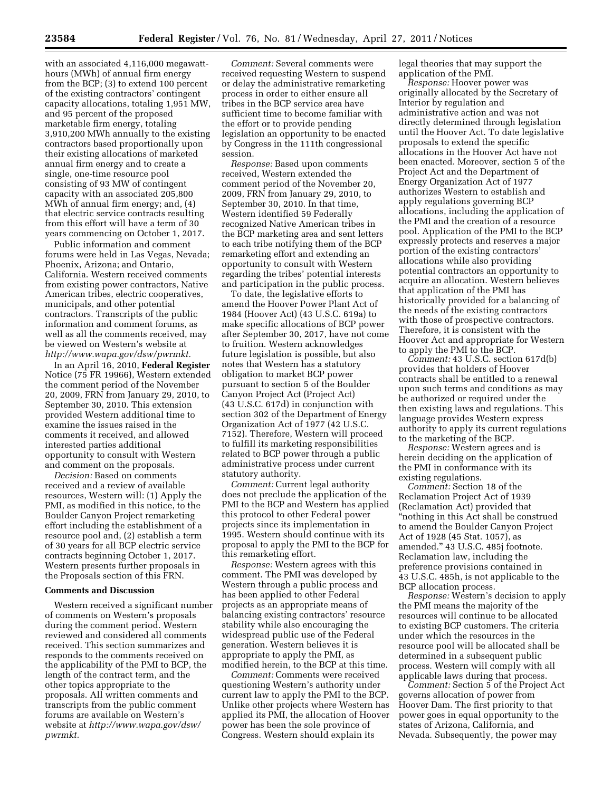with an associated 4,116,000 megawatthours (MWh) of annual firm energy from the BCP; (3) to extend 100 percent of the existing contractors' contingent capacity allocations, totaling 1,951 MW, and 95 percent of the proposed marketable firm energy, totaling 3,910,200 MWh annually to the existing contractors based proportionally upon their existing allocations of marketed annual firm energy and to create a single, one-time resource pool consisting of 93 MW of contingent capacity with an associated 205,800 MWh of annual firm energy; and, (4) that electric service contracts resulting from this effort will have a term of 30 years commencing on October 1, 2017.

Public information and comment forums were held in Las Vegas, Nevada; Phoenix, Arizona; and Ontario, California. Western received comments from existing power contractors, Native American tribes, electric cooperatives, municipals, and other potential contractors. Transcripts of the public information and comment forums, as well as all the comments received, may be viewed on Western's website at *[http://www.wapa.gov/dsw/pwrmkt.](http://www.wapa.gov/dsw/pwrmkt)* 

In an April 16, 2010, **Federal Register**  Notice (75 FR 19966), Western extended the comment period of the November 20, 2009, FRN from January 29, 2010, to September 30, 2010. This extension provided Western additional time to examine the issues raised in the comments it received, and allowed interested parties additional opportunity to consult with Western and comment on the proposals.

*Decision:* Based on comments received and a review of available resources, Western will: (1) Apply the PMI, as modified in this notice, to the Boulder Canyon Project remarketing effort including the establishment of a resource pool and, (2) establish a term of 30 years for all BCP electric service contracts beginning October 1, 2017. Western presents further proposals in the Proposals section of this FRN.

### **Comments and Discussion**

Western received a significant number of comments on Western's proposals during the comment period. Western reviewed and considered all comments received. This section summarizes and responds to the comments received on the applicability of the PMI to BCP, the length of the contract term, and the other topics appropriate to the proposals. All written comments and transcripts from the public comment forums are available on Western's website at *[http://www.wapa.gov/dsw/](http://www.wapa.gov/dsw/pwrmkt)  [pwrmkt.](http://www.wapa.gov/dsw/pwrmkt)* 

*Comment:* Several comments were received requesting Western to suspend or delay the administrative remarketing process in order to either ensure all tribes in the BCP service area have sufficient time to become familiar with the effort or to provide pending legislation an opportunity to be enacted by Congress in the 111th congressional session.

*Response:* Based upon comments received, Western extended the comment period of the November 20, 2009, FRN from January 29, 2010, to September 30, 2010. In that time, Western identified 59 Federally recognized Native American tribes in the BCP marketing area and sent letters to each tribe notifying them of the BCP remarketing effort and extending an opportunity to consult with Western regarding the tribes' potential interests and participation in the public process.

To date, the legislative efforts to amend the Hoover Power Plant Act of 1984 (Hoover Act) (43 U.S.C. 619a) to make specific allocations of BCP power after September 30, 2017, have not come to fruition. Western acknowledges future legislation is possible, but also notes that Western has a statutory obligation to market BCP power pursuant to section 5 of the Boulder Canyon Project Act (Project Act) (43 U.S.C. 617d) in conjunction with section 302 of the Department of Energy Organization Act of 1977 (42 U.S.C. 7152). Therefore, Western will proceed to fulfill its marketing responsibilities related to BCP power through a public administrative process under current statutory authority.

*Comment:* Current legal authority does not preclude the application of the PMI to the BCP and Western has applied this protocol to other Federal power projects since its implementation in 1995. Western should continue with its proposal to apply the PMI to the BCP for this remarketing effort.

*Response:* Western agrees with this comment. The PMI was developed by Western through a public process and has been applied to other Federal projects as an appropriate means of balancing existing contractors' resource stability while also encouraging the widespread public use of the Federal generation. Western believes it is appropriate to apply the PMI, as modified herein, to the BCP at this time.

*Comment:* Comments were received questioning Western's authority under current law to apply the PMI to the BCP. Unlike other projects where Western has applied its PMI, the allocation of Hoover power has been the sole province of Congress. Western should explain its

legal theories that may support the application of the PMI.

*Response:* Hoover power was originally allocated by the Secretary of Interior by regulation and administrative action and was not directly determined through legislation until the Hoover Act. To date legislative proposals to extend the specific allocations in the Hoover Act have not been enacted. Moreover, section 5 of the Project Act and the Department of Energy Organization Act of 1977 authorizes Western to establish and apply regulations governing BCP allocations, including the application of the PMI and the creation of a resource pool. Application of the PMI to the BCP expressly protects and reserves a major portion of the existing contractors' allocations while also providing potential contractors an opportunity to acquire an allocation. Western believes that application of the PMI has historically provided for a balancing of the needs of the existing contractors with those of prospective contractors. Therefore, it is consistent with the Hoover Act and appropriate for Western to apply the PMI to the BCP.

*Comment:* 43 U.S.C. section 617d(b) provides that holders of Hoover contracts shall be entitled to a renewal upon such terms and conditions as may be authorized or required under the then existing laws and regulations. This language provides Western express authority to apply its current regulations to the marketing of the BCP.

*Response:* Western agrees and is herein deciding on the application of the PMI in conformance with its existing regulations.

*Comment:* Section 18 of the Reclamation Project Act of 1939 (Reclamation Act) provided that ''nothing in this Act shall be construed to amend the Boulder Canyon Project Act of 1928 (45 Stat. 1057), as amended.'' 43 U.S.C. 485j footnote. Reclamation law, including the preference provisions contained in 43 U.S.C. 485h, is not applicable to the BCP allocation process.

*Response:* Western's decision to apply the PMI means the majority of the resources will continue to be allocated to existing BCP customers. The criteria under which the resources in the resource pool will be allocated shall be determined in a subsequent public process. Western will comply with all applicable laws during that process.

*Comment:* Section 5 of the Project Act governs allocation of power from Hoover Dam. The first priority to that power goes in equal opportunity to the states of Arizona, California, and Nevada. Subsequently, the power may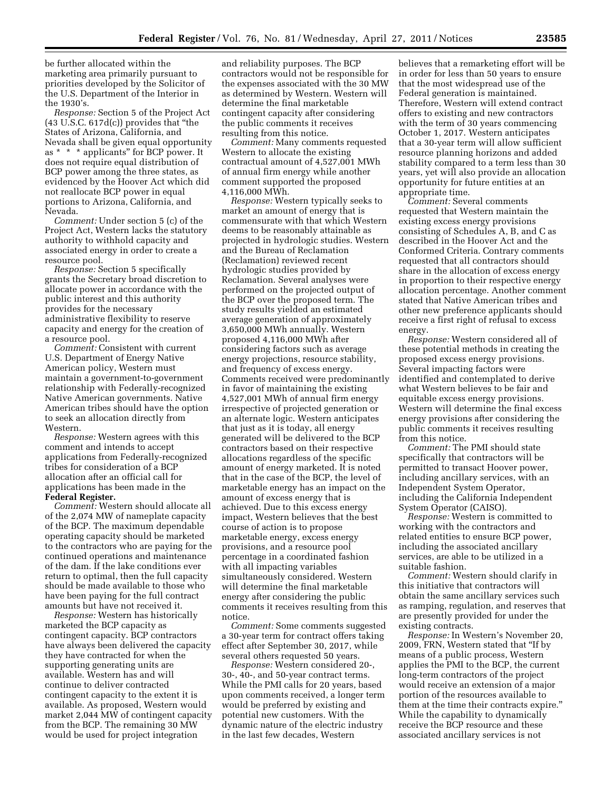be further allocated within the marketing area primarily pursuant to priorities developed by the Solicitor of the U.S. Department of the Interior in the 1930's.

*Response:* Section 5 of the Project Act (43 U.S.C. 617d(c)) provides that ''the States of Arizona, California, and Nevada shall be given equal opportunity as \* \* \* applicants'' for BCP power. It does not require equal distribution of BCP power among the three states, as evidenced by the Hoover Act which did not reallocate BCP power in equal portions to Arizona, California, and Nevada.

*Comment:* Under section 5 (c) of the Project Act, Western lacks the statutory authority to withhold capacity and associated energy in order to create a resource pool.

*Response:* Section 5 specifically grants the Secretary broad discretion to allocate power in accordance with the public interest and this authority provides for the necessary administrative flexibility to reserve capacity and energy for the creation of a resource pool.

*Comment:* Consistent with current U.S. Department of Energy Native American policy, Western must maintain a government-to-government relationship with Federally-recognized Native American governments. Native American tribes should have the option to seek an allocation directly from Western.

*Response:* Western agrees with this comment and intends to accept applications from Federally-recognized tribes for consideration of a BCP allocation after an official call for applications has been made in the **Federal Register.** 

*Comment:* Western should allocate all of the 2,074 MW of nameplate capacity of the BCP. The maximum dependable operating capacity should be marketed to the contractors who are paying for the continued operations and maintenance of the dam. If the lake conditions ever return to optimal, then the full capacity should be made available to those who have been paying for the full contract amounts but have not received it.

*Response:* Western has historically marketed the BCP capacity as contingent capacity. BCP contractors have always been delivered the capacity they have contracted for when the supporting generating units are available. Western has and will continue to deliver contracted contingent capacity to the extent it is available. As proposed, Western would market 2,044 MW of contingent capacity from the BCP. The remaining 30 MW would be used for project integration

and reliability purposes. The BCP contractors would not be responsible for the expenses associated with the 30 MW as determined by Western. Western will determine the final marketable contingent capacity after considering the public comments it receives resulting from this notice.

*Comment:* Many comments requested Western to allocate the existing contractual amount of 4,527,001 MWh of annual firm energy while another comment supported the proposed 4,116,000 MWh.

*Response:* Western typically seeks to market an amount of energy that is commensurate with that which Western deems to be reasonably attainable as projected in hydrologic studies. Western and the Bureau of Reclamation (Reclamation) reviewed recent hydrologic studies provided by Reclamation. Several analyses were performed on the projected output of the BCP over the proposed term. The study results yielded an estimated average generation of approximately 3,650,000 MWh annually. Western proposed 4,116,000 MWh after considering factors such as average energy projections, resource stability, and frequency of excess energy. Comments received were predominantly in favor of maintaining the existing 4,527,001 MWh of annual firm energy irrespective of projected generation or an alternate logic. Western anticipates that just as it is today, all energy generated will be delivered to the BCP contractors based on their respective allocations regardless of the specific amount of energy marketed. It is noted that in the case of the BCP, the level of marketable energy has an impact on the amount of excess energy that is achieved. Due to this excess energy impact, Western believes that the best course of action is to propose marketable energy, excess energy provisions, and a resource pool percentage in a coordinated fashion with all impacting variables simultaneously considered. Western will determine the final marketable energy after considering the public comments it receives resulting from this notice.

*Comment:* Some comments suggested a 30-year term for contract offers taking effect after September 30, 2017, while several others requested 50 years.

*Response:* Western considered 20-, 30-, 40-, and 50-year contract terms. While the PMI calls for 20 years, based upon comments received, a longer term would be preferred by existing and potential new customers. With the dynamic nature of the electric industry in the last few decades, Western

believes that a remarketing effort will be in order for less than 50 years to ensure that the most widespread use of the Federal generation is maintained. Therefore, Western will extend contract offers to existing and new contractors with the term of 30 years commencing October 1, 2017. Western anticipates that a 30-year term will allow sufficient resource planning horizons and added stability compared to a term less than 30 years, yet will also provide an allocation opportunity for future entities at an appropriate time.

*Comment:* Several comments requested that Western maintain the existing excess energy provisions consisting of Schedules A, B, and C as described in the Hoover Act and the Conformed Criteria. Contrary comments requested that all contractors should share in the allocation of excess energy in proportion to their respective energy allocation percentage. Another comment stated that Native American tribes and other new preference applicants should receive a first right of refusal to excess energy.

*Response:* Western considered all of these potential methods in creating the proposed excess energy provisions. Several impacting factors were identified and contemplated to derive what Western believes to be fair and equitable excess energy provisions. Western will determine the final excess energy provisions after considering the public comments it receives resulting from this notice.

*Comment:* The PMI should state specifically that contractors will be permitted to transact Hoover power, including ancillary services, with an Independent System Operator, including the California Independent System Operator (CAISO).

*Response:* Western is committed to working with the contractors and related entities to ensure BCP power, including the associated ancillary services, are able to be utilized in a suitable fashion.

*Comment:* Western should clarify in this initiative that contractors will obtain the same ancillary services such as ramping, regulation, and reserves that are presently provided for under the existing contracts.

*Response:* In Western's November 20, 2009, FRN, Western stated that ''If by means of a public process, Western applies the PMI to the BCP, the current long-term contractors of the project would receive an extension of a major portion of the resources available to them at the time their contracts expire.'' While the capability to dynamically receive the BCP resource and these associated ancillary services is not